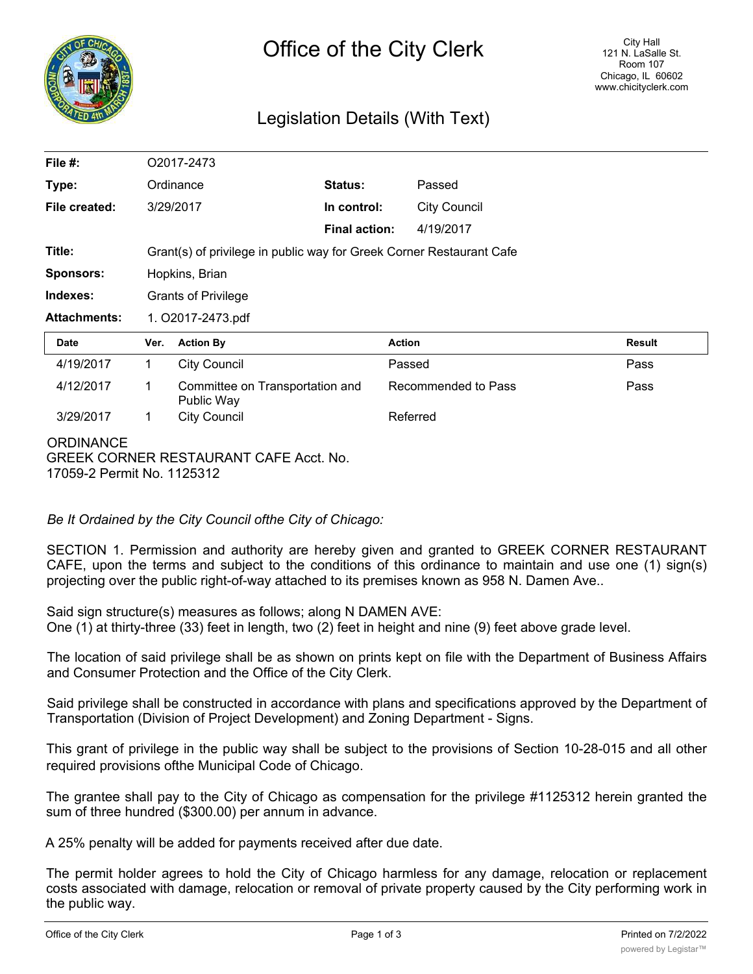

## Legislation Details (With Text)

| File $#$ :          | O2017-2473                                                           |                                               |                      |                     |               |
|---------------------|----------------------------------------------------------------------|-----------------------------------------------|----------------------|---------------------|---------------|
| Type:               |                                                                      | Ordinance                                     | Status:              | Passed              |               |
| File created:       |                                                                      | 3/29/2017                                     | In control:          | <b>City Council</b> |               |
|                     |                                                                      |                                               | <b>Final action:</b> | 4/19/2017           |               |
| Title:              | Grant(s) of privilege in public way for Greek Corner Restaurant Cafe |                                               |                      |                     |               |
| <b>Sponsors:</b>    | Hopkins, Brian                                                       |                                               |                      |                     |               |
| Indexes:            | <b>Grants of Privilege</b>                                           |                                               |                      |                     |               |
| <b>Attachments:</b> | 1. O2017-2473.pdf                                                    |                                               |                      |                     |               |
| <b>Date</b>         | Ver.                                                                 | <b>Action By</b>                              |                      | <b>Action</b>       | <b>Result</b> |
| 4/19/2017           | 1                                                                    | <b>City Council</b>                           |                      | Passed              | Pass          |
| 4/12/2017           | 1                                                                    | Committee on Transportation and<br>Public Way |                      | Recommended to Pass | Pass          |
| 3/29/2017           | 1                                                                    | <b>City Council</b>                           |                      | Referred            |               |
| <b>ORDINANCE</b>    |                                                                      |                                               |                      |                     |               |

GREEK CORNER RESTAURANT CAFE Acct. No. 17059-2 Permit No. 1125312

*Be It Ordained by the City Council ofthe City of Chicago:*

SECTION 1. Permission and authority are hereby given and granted to GREEK CORNER RESTAURANT CAFE, upon the terms and subject to the conditions of this ordinance to maintain and use one (1) sign(s) projecting over the public right-of-way attached to its premises known as 958 N. Damen Ave..

Said sign structure(s) measures as follows; along N DAMEN AVE: One (1) at thirty-three (33) feet in length, two (2) feet in height and nine (9) feet above grade level.

The location of said privilege shall be as shown on prints kept on file with the Department of Business Affairs and Consumer Protection and the Office of the City Clerk.

Said privilege shall be constructed in accordance with plans and specifications approved by the Department of Transportation (Division of Project Development) and Zoning Department - Signs.

This grant of privilege in the public way shall be subject to the provisions of Section 10-28-015 and all other required provisions ofthe Municipal Code of Chicago.

The grantee shall pay to the City of Chicago as compensation for the privilege #1125312 herein granted the sum of three hundred (\$300.00) per annum in advance.

A 25% penalty will be added for payments received after due date.

The permit holder agrees to hold the City of Chicago harmless for any damage, relocation or replacement costs associated with damage, relocation or removal of private property caused by the City performing work in the public way.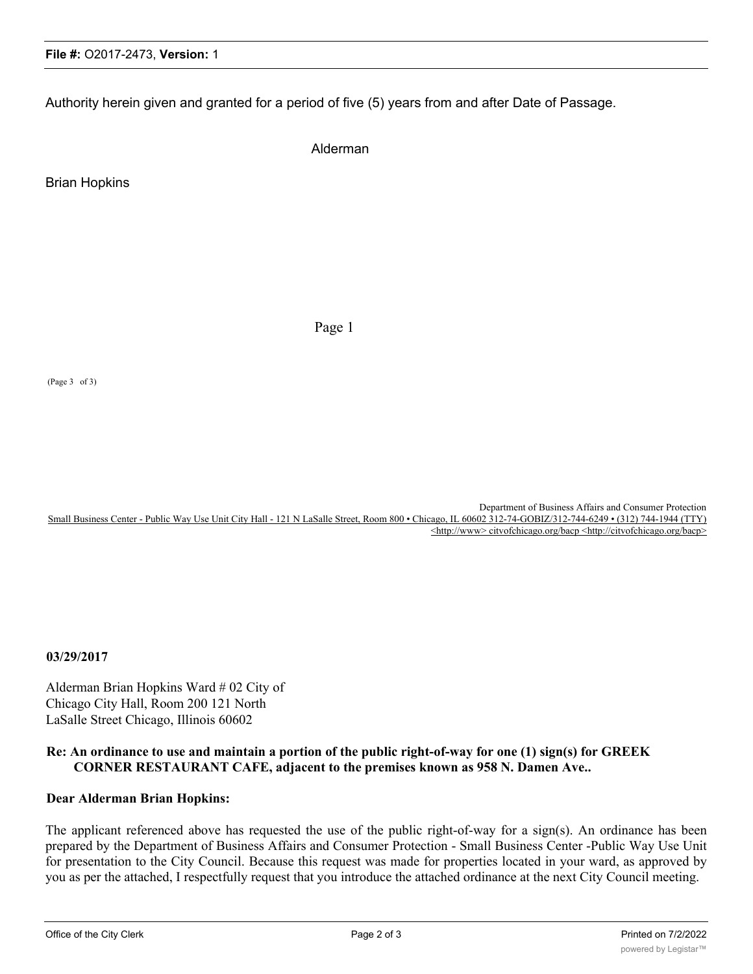Authority herein given and granted for a period of five (5) years from and after Date of Passage.

Alderman

Brian Hopkins

Page 1

(Page 3 of 3)

Department of Business Affairs and Consumer Protection Small Business Center - Public Way Use Unit City Hall - 121 N LaSalle Street, Room 800 • Chicago, IL 60602 312-74-GOBIZ/312-744-6249 • (312) 744-1944 (TTY) <http://www>citvofchicago.org/bacp <http://citvofchicago.org/bacp>

**03/29/2017**

Alderman Brian Hopkins Ward # 02 City of Chicago City Hall, Room 200 121 North LaSalle Street Chicago, Illinois 60602

## **Re: An ordinance to use and maintain a portion of the public right-of-way for one (1) sign(s) for GREEK CORNER RESTAURANT CAFE, adjacent to the premises known as 958 N. Damen Ave..**

## **Dear Alderman Brian Hopkins:**

The applicant referenced above has requested the use of the public right-of-way for a sign(s). An ordinance has been prepared by the Department of Business Affairs and Consumer Protection - Small Business Center -Public Way Use Unit for presentation to the City Council. Because this request was made for properties located in your ward, as approved by you as per the attached, I respectfully request that you introduce the attached ordinance at the next City Council meeting.